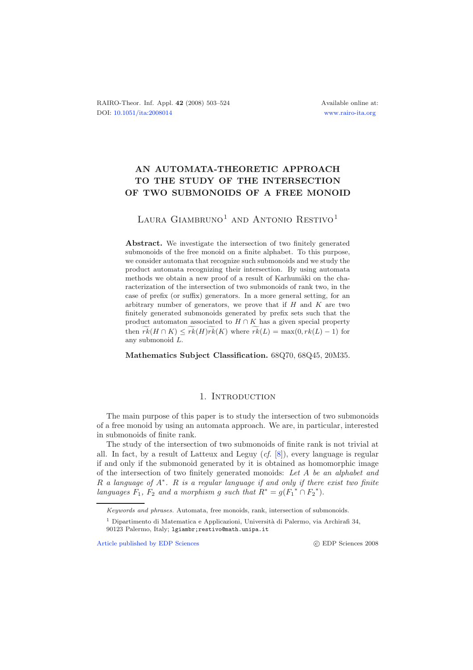# **AN AUTOMATA-THEORETIC APPROACH TO THE STUDY OF THE INTERSECTION OF TWO SUBMONOIDS OF A FREE MONOID**

## LAURA GIAMBRUNO<sup>1</sup> AND ANTONIO RESTIVO<sup>1</sup>

Abstract. We investigate the intersection of two finitely generated submonoids of the free monoid on a finite alphabet. To this purpose, we consider automata that recognize such submonoids and we study the product automata recognizing their intersection. By using automata methods we obtain a new proof of a result of Karhumäki on the characterization of the intersection of two submonoids of rank two, in the case of prefix (or suffix) generators. In a more general setting, for an arbitrary number of generators, we prove that if *H* and *K* are two finitely generated submonoids generated by prefix sets such that the product automaton associated to  $H \cap K$  has a given special property then  $rk(H \cap K) \leq rk(H)rk(K)$  where  $rk(L) = \max(0, rk(L) - 1)$  for any submonoid *L*.

**Mathematics Subject Classification.** 68Q70, 68Q45, 20M35.

## 1. INTRODUCTION

The main purpose of this paper is to study the intersection of two submonoids of a free monoid by using an automata approach. We are, in particular, interested in submonoids of finite rank.

The study of the intersection of two submonoids of finite rank is not trivial at all. In fact, by a result of Latteux and Leguy (*cf.* [\[8](#page-21-0)]), every language is regular if and only if the submonoid generated by it is obtained as homomorphic image of the intersection of two finitely generated monoids: *Let* A *be an alphabet and* R *a language of* A<sup>∗</sup>*.* <sup>R</sup> *is a regular language if and only if there exist two finite languages*  $F_1$ ,  $F_2$  *and a morphism g such that*  $R^* = g(F_1^* \cap F_2^*)$ .

[Article published by EDP Sciences](http://www.edpsciences.org)

*Keywords and phrases.* Automata, free monoids, rank, intersection of submonoids.

<sup>&</sup>lt;sup>1</sup> Dipartimento di Matematica e Applicazioni, Università di Palermo, via Archirafi 34,

<sup>90123</sup> Palermo, Italy; lgiambr;restivo@math.unipa.it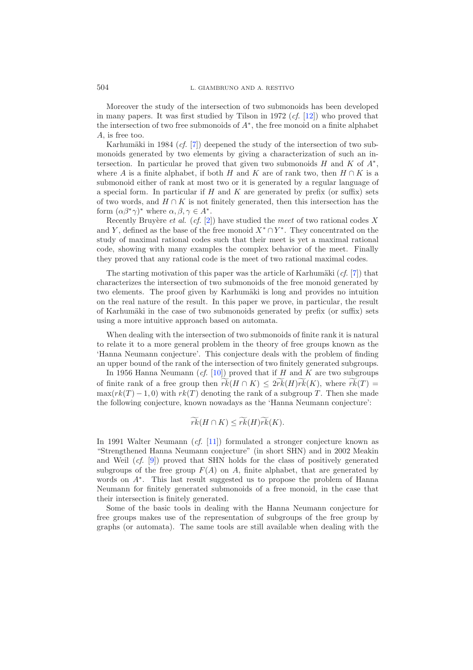Moreover the study of the intersection of two submonoids has been developed in many papers. It was first studied by Tilson in 1972 (*cf.* [\[12\]](#page-21-1)) who proved that the intersection of two free submonoids of A∗, the free monoid on a finite alphabet A, is free too.

Karhumäki in 1984  $(cf. [7])$  $(cf. [7])$  $(cf. [7])$  deepened the study of the intersection of two submonoids generated by two elements by giving a characterization of such an intersection. In particular he proved that given two submonoids  $H$  and  $K$  of  $A^*$ , where A is a finite alphabet, if both H and K are of rank two, then  $H \cap K$  is a submonoid either of rank at most two or it is generated by a regular language of a special form. In particular if H and K are generated by prefix (or suffix) sets of two words, and  $H \cap K$  is not finitely generated, then this intersection has the form  $(\alpha \beta^* \gamma)^*$  where  $\alpha, \beta, \gamma \in A^*$ .

Recently Bruyère *et al.* (*cf.* [\[2](#page-21-3)]) have studied the *meet* of two rational codes X and Y, defined as the base of the free monoid  $X^* \cap Y^*$ . They concentrated on the study of maximal rational codes such that their meet is yet a maximal rational code, showing with many examples the complex behavior of the meet. Finally they proved that any rational code is the meet of two rational maximal codes.

The starting motivation of this paper was the article of Karhumäki  $(cf. [7])$  $(cf. [7])$  $(cf. [7])$  that characterizes the intersection of two submonoids of the free monoid generated by two elements. The proof given by Karhumäki is long and provides no intuition on the real nature of the result. In this paper we prove, in particular, the result of Karhumäki in the case of two submonoids generated by prefix (or suffix) sets using a more intuitive approach based on automata.

When dealing with the intersection of two submonoids of finite rank it is natural to relate it to a more general problem in the theory of free groups known as the 'Hanna Neumann conjecture'. This conjecture deals with the problem of finding an upper bound of the rank of the intersection of two finitely generated subgroups.

In 1956 Hanna Neumann  $(cf. [10])$  $(cf. [10])$  $(cf. [10])$  proved that if H and K are two subgroups of finite rank of a free group then  $rk(H \cap K) \leq 2rk(H)rk(K)$ , where  $rk(T) =$ <br>max $(rk(T) - 1, 0)$  with  $rk(T)$  denoting the rank of a subgroup T. Then she made  $\max(rk(T) - 1, 0)$  with  $rk(T)$  denoting the rank of a subgroup T. Then she made the following conjecture, known nowadays as the 'Hanna Neumann conjecture':

$$
\widetilde{rk}(H \cap K) \leq \widetilde{rk}(H)\widetilde{rk}(K).
$$

In 1991 Walter Neumann (*cf.* [\[11\]](#page-21-5)) formulated a stronger conjecture known as "Strengthened Hanna Neumann conjecture" (in short SHN) and in 2002 Meakin and Weil (*cf.* [\[9\]](#page-21-6)) proved that SHN holds for the class of positively generated subgroups of the free group  $F(A)$  on A, finite alphabet, that are generated by words on <sup>A</sup><sup>∗</sup>. This last result suggested us to propose the problem of Hanna Neumann for finitely generated submonoids of a free monoid, in the case that their intersection is finitely generated.

Some of the basic tools in dealing with the Hanna Neumann conjecture for free groups makes use of the representation of subgroups of the free group by graphs (or automata). The same tools are still available when dealing with the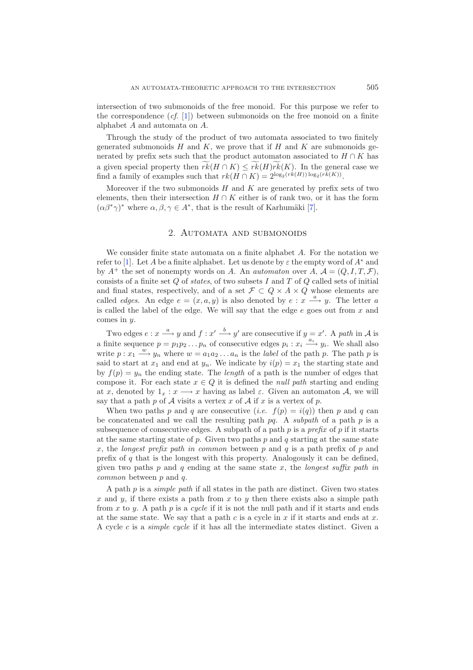intersection of two submonoids of the free monoid. For this purpose we refer to the correspondence (*cf.* [\[1\]](#page-21-7)) between submonoids on the free monoid on a finite alphabet A and automata on A.

Through the study of the product of two automata associated to two finitely generated submonoids  $H$  and  $K$ , we prove that if  $H$  and  $K$  are submonoids generated by prefix sets such that the product automaton associated to  $H \cap K$  has a given special property then  $rk(H \cap K) \leq rk(H)rk(K)$ . In the general case we find a family of examples such that  $rk(H \cap K) = \text{plog}_2(rk(H))\log_2(rk(K))$ find a family of examples such that  $rk(H \cap K) = 2^{\log_2(rk(H)) \log_2(rk(K))}$ .

Moreover if the two submonoids  $H$  and  $K$  are generated by prefix sets of two elements, then their intersection  $H \cap K$  either is of rank two, or it has the form  $(\alpha\beta^*\gamma)^*$  where  $\alpha, \beta, \gamma \in A^*$ , that is the result of Karhumäki [\[7](#page-21-2)].

#### 2. Automata and submonoids

We consider finite state automata on a finite alphabet A. For the notation we refer to [\[1\]](#page-21-7). Let A be a finite alphabet. Let us denote by  $\varepsilon$  the empty word of  $A^*$  and by  $A^+$  the set of nonempty words on A. An *automaton* over  $A, A = (Q, I, T, \mathcal{F}),$ consists of a finite set Q of *states*, of two subsets I and T of Q called sets of initial and final states, respectively, and of a set  $\mathcal{F} \subset Q \times A \times Q$  whose elements are called *edges*. An edge  $e = (x, a, y)$  is also denoted by  $e : x \stackrel{a}{\longrightarrow} y$ . The letter a is called the label of the edge. We will say that the edge  $e$  goes out from  $x$  and comes in y.

Two edges  $e : x \xrightarrow{a} y$  and  $f : x' \xrightarrow{b} y'$  are consecutive if  $y = x'$ . A *path* in A is a finite sequence  $p = p_1 p_2 ... p_n$  of consecutive edges  $p_i : x_i \stackrel{a_i}{\longrightarrow} y_i$ . We shall also write  $p: x_1 \stackrel{w}{\longrightarrow} y_n$  where  $w = a_1 a_2 \dots a_n$  is the *label* of the path p. The path p is<br>said to start at x, and and at u. We indicate by  $i(n) = x$ , the starting state and said to start at  $x_1$  and end at  $y_n$ . We indicate by  $i(p) = x_1$  the starting state and by  $f(p) = y_n$  the ending state. The *length* of a path is the number of edges that compose it. For each state  $x \in Q$  it is defined the *null path* starting and ending at x, denoted by  $1_x : x \longrightarrow x$  having as label  $\varepsilon$ . Given an automaton A, we will say that a path p of  $A$  visits a vertex x of  $A$  if x is a vertex of p.

When two paths p and q are consecutive (*i.e.*  $f(p) = i(q)$ ) then p and q can be concatenated and we call the resulting path pq. A *subpath* of a path p is a subsequence of consecutive edges. A subpath of a path p is a *prefix* of p if it starts at the same starting state of p. Given two paths p and q starting at the same state x, the *longest prefix path in common* between p and q is a path prefix of p and prefix of  $q$  that is the longest with this property. Analogously it can be defined, given two paths  $p$  and  $q$  ending at the same state  $x$ , the *longest suffix path in common* between p and q.

A path p is a *simple path* if all states in the path are distinct. Given two states x and y, if there exists a path from  $x$  to  $y$  then there exists also a simple path from x to y. A path p is a *cycle* if it is not the null path and if it starts and ends at the same state. We say that a path c is a cycle in  $x$  if it starts and ends at  $x$ . A cycle c is a *simple cycle* if it has all the intermediate states distinct. Given a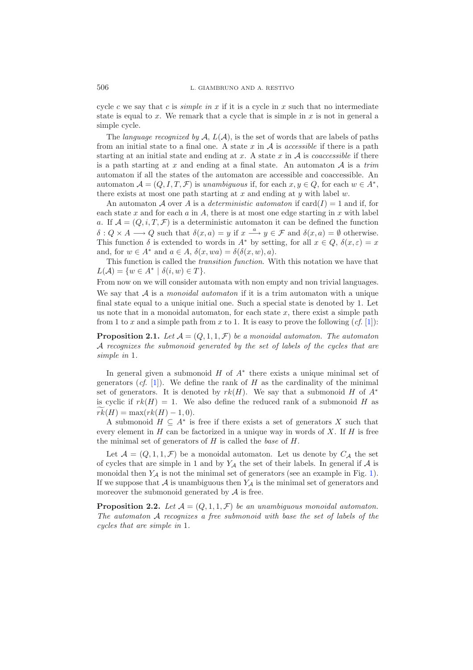cycle c we say that c is *simple in*  $x$  if it is a cycle in  $x$  such that no intermediate state is equal to x. We remark that a cycle that is simple in  $x$  is not in general a simple cycle.

The *language recognized by*  $A, L(A)$ , is the set of words that are labels of paths from an initial state to a final one. A state  $x$  in  $A$  is *accessible* if there is a path starting at an initial state and ending at  $x$ . A state  $x$  in  $A$  is *coaccessible* if there is a path starting at x and ending at a final state. An automaton <sup>A</sup> is a *trim* automaton if all the states of the automaton are accessible and coaccessible. An automaton  $\mathcal{A} = (Q, I, T, \mathcal{F})$  is *unambiguous* if, for each  $x, y \in Q$ , for each  $w \in A^*$ , there exists at most one path starting at x and ending at y with label  $w$ .

An automaton A over A is a *deterministic automaton* if  $card(I) = 1$  and if, for each state  $x$  and for each  $a$  in  $A$ , there is at most one edge starting in  $x$  with label a. If  $\mathcal{A} = (Q, i, T, \mathcal{F})$  is a deterministic automaton it can be defined the function  $\delta: Q \times A \longrightarrow Q$  such that  $\delta(x, a) = y$  if  $x \stackrel{a}{\longrightarrow} y \in \mathcal{F}$  and  $\delta(x, a) = \emptyset$  otherwise. This function  $\delta$  is extended to words in  $A^*$  by setting, for all  $x \in Q$ ,  $\delta(x, \varepsilon) = x$ and, for  $w \in A^*$  and  $a \in A$ ,  $\delta(x, wa) = \delta(\delta(x, w), a)$ .

This function is called the *transition function*. With this notation we have that  $L(\mathcal{A}) = \{w \in A^* \mid \delta(i, w) \in T\}.$ 

From now on we will consider automata with non empty and non trivial languages. We say that A is a *monoidal automaton* if it is a trim automaton with a unique final state equal to a unique initial one. Such a special state is denoted by 1. Let us note that in a monoidal automaton, for each state  $x$ , there exist a simple path from 1 to x and a simple path from x to 1. It is easy to prove the following  $(cf. [1])$  $(cf. [1])$  $(cf. [1])$ :

<span id="page-3-0"></span>**Proposition 2.1.** Let  $\mathcal{A} = (Q, 1, 1, \mathcal{F})$  be a monoidal automaton. The automaton A *recognizes the submonoid generated by the set of labels of the cycles that are simple in* 1*.*

In general given a submonoid  $H$  of  $A^*$  there exists a unique minimal set of generators  $(cf. [1])$  $(cf. [1])$  $(cf. [1])$ . We define the rank of H as the cardinality of the minimal set of generators. It is denoted by  $rk(H)$ . We say that a submonoid H of  $A^*$ is cyclic if  $rk(H) = 1$ . We also define the reduced rank of a submonoid H as  $rk(H) = \max(rk(H) - 1, 0).$ <br>A submonoid  $H \subset 4^*$  is

A submonoid  $H \subseteq A^*$  is free if there exists a set of generators X such that every element in  $H$  can be factorized in a unique way in words of  $X$ . If  $H$  is free the minimal set of generators of H is called the *base* of H.

Let  $\mathcal{A} = (Q, 1, 1, \mathcal{F})$  be a monoidal automaton. Let us denote by  $C_{\mathcal{A}}$  the set of cycles that are simple in 1 and by  $Y_{\mathcal{A}}$  the set of their labels. In general if  $\mathcal A$  is monoidal then  $Y_A$  is not the minimal set of generators (see an example in Fig. [1\)](#page-4-0). If we suppose that  $A$  is unambiguous then  $Y_A$  is the minimal set of generators and moreover the submonoid generated by  $A$  is free.

<span id="page-3-1"></span>**Proposition 2.2.** Let  $\mathcal{A} = (Q, 1, 1, \mathcal{F})$  *be an unambiguous monoidal automaton. The automaton* A *recognizes a free submonoid with base the set of labels of the cycles that are simple in* 1*.*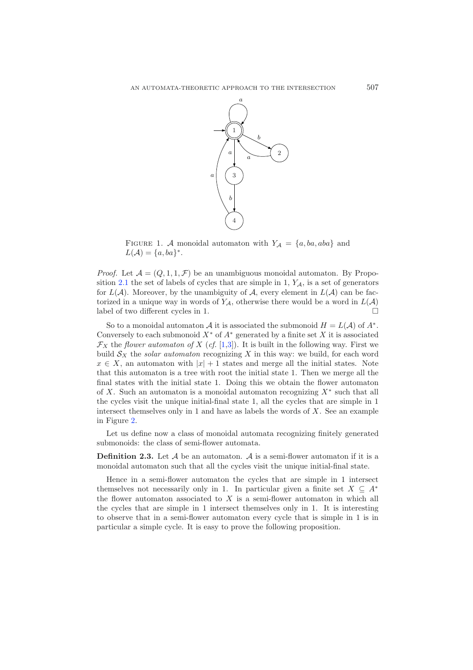<span id="page-4-0"></span>

FIGURE 1. A monoidal automaton with  $Y_A = \{a, ba, aba\}$  and  $L(\mathcal{A}) = \{a, ba\}^*.$ 

*Proof.* Let  $\mathcal{A} = (Q, 1, 1, \mathcal{F})$  be an unambiguous monoidal automaton. By Propo-sition [2.1](#page-3-0) the set of labels of cycles that are simple in  $1, Y_A$ , is a set of generators for  $L(\mathcal{A})$ . Moreover, by the unambiguity of  $\mathcal{A}$ , every element in  $L(\mathcal{A})$  can be factorized in a unique way in words of  $Y_{\mathcal{A}}$ , otherwise there would be a word in  $L(\mathcal{A})$ <br>label of two different cycles in 1 label of two different cycles in 1.

So to a monoidal automaton A it is associated the submonoid  $H = L(\mathcal{A})$  of  $A^*$ . Conversely to each submonoid  $X^*$  of  $A^*$  generated by a finite set X it is associated  $\mathcal{F}_X$  the *flower automaton of* X (*cf.* [\[1](#page-21-7)[,3](#page-21-8)]). It is built in the following way. First we build  $S_X$  the *solar automaton* recognizing X in this way: we build, for each word  $x \in X$ , an automaton with  $|x| + 1$  states and merge all the initial states. Note that this automaton is a tree with root the initial state 1. Then we merge all the final states with the initial state 1. Doing this we obtain the flower automaton of X. Such an automaton is a monoidal automaton recognizing  $X^*$  such that all the cycles visit the unique initial-final state 1, all the cycles that are simple in 1 intersect themselves only in 1 and have as labels the words of  $X$ . See an example in Figure [2.](#page-5-0)

<span id="page-4-2"></span>Let us define now a class of monoidal automata recognizing finitely generated submonoids: the class of semi-flower automata.

**Definition 2.3.** Let  $A$  be an automaton.  $A$  is a semi-flower automaton if it is a monoidal automaton such that all the cycles visit the unique initial-final state.

<span id="page-4-1"></span>Hence in a semi-flower automaton the cycles that are simple in 1 intersect themselves not necessarily only in 1. In particular given a finite set  $X \subseteq A^*$ the flower automaton associated to  $X$  is a semi-flower automaton in which all the cycles that are simple in 1 intersect themselves only in 1. It is interesting to observe that in a semi-flower automaton every cycle that is simple in 1 is in particular a simple cycle. It is easy to prove the following proposition.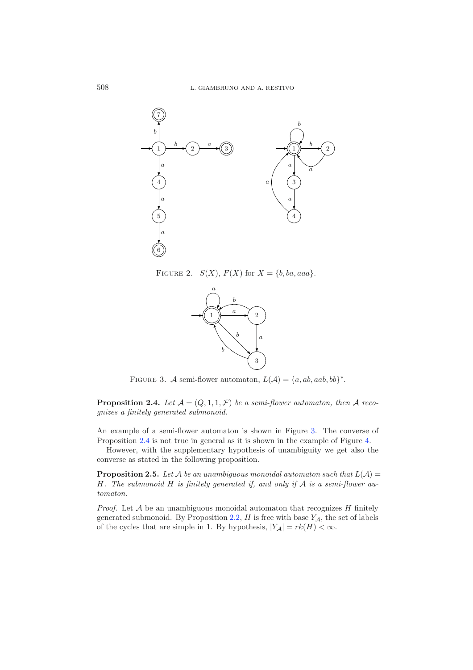<span id="page-5-0"></span>

<span id="page-5-1"></span>FIGURE 2.  $S(X)$ ,  $F(X)$  for  $X = \{b, ba, aaa\}.$ 



FIGURE 3. A semi-flower automaton,  $L(\mathcal{A}) = \{a, ab, aab, bb\}^*$ .

**Proposition 2.4.** Let  $A = (Q, 1, 1, \mathcal{F})$  be a semi-flower automaton, then A reco*gnizes a finitely generated submonoid.*

An example of a semi-flower automaton is shown in Figure [3.](#page-5-1) The converse of Proposition [2.4](#page-4-1) is not true in general as it is shown in the example of Figure [4.](#page-6-0)

<span id="page-5-2"></span>However, with the supplementary hypothesis of unambiguity we get also the converse as stated in the following proposition.

**Proposition 2.5.** Let A be an unambiguous monoidal automaton such that  $L(A)$  = H*. The submonoid* H *is finitely generated if, and only if* <sup>A</sup> *is a semi-flower automaton.*

*Proof.* Let  $A$  be an unambiguous monoidal automaton that recognizes  $H$  finitely generated submonoid. By Proposition [2.2,](#page-3-1)  $H$  is free with base  $Y_A$ , the set of labels of the cycles that are simple in 1. By hypothesis,  $|Y_\mathcal{A}| = rk(H) < \infty$ .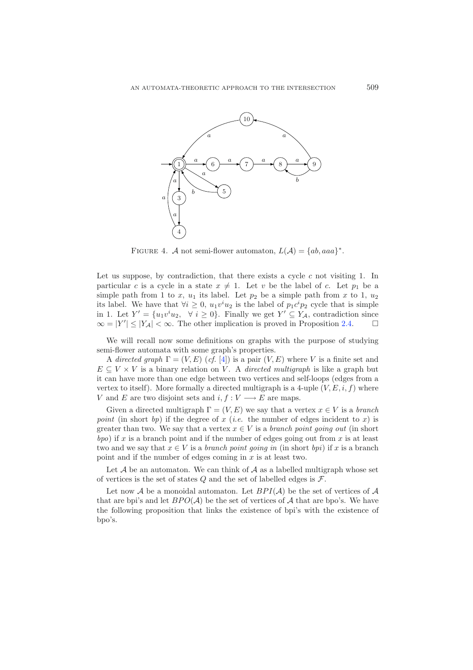<span id="page-6-0"></span>

FIGURE 4. A not semi-flower automaton,  $L(A) = \{ab, aaa\}^*$ .

Let us suppose, by contradiction, that there exists a cycle  $c$  not visiting 1. In particular c is a cycle in a state  $x \neq 1$ . Let v be the label of c. Let  $p_1$  be a simple path from x to 1,  $y_2$ simple path from 1 to x,  $u_1$  its label. Let  $p_2$  be a simple path from x to 1,  $u_2$ its label. We have that  $\forall i \geq 0$ ,  $u_1v^iu_2$  is the label of  $p_1c^ip_2$  cycle that is simple<br>in 1. Let  $V' = \{u_1v^iu_2, \forall i \geq 0\}$ . Finally we get  $V' \subset V_t$ , contradiction since in 1. Let  $Y' = \{u_1v^iu_2, \forall i \ge 0\}$ . Finally we get  $Y' \subseteq Y_{\mathcal{A}}$ , contradiction since  $\infty = |Y'| < |Y_{\mathcal{A}}| < \infty$ . The other implication is proved in Proposition 2.4  $\infty = |Y'| \le |Y_A| < \infty$ . The other implication is proved in Proposition [2.4.](#page-4-1)  $\Box$ 

We will recall now some definitions on graphs with the purpose of studying semi-flower automata with some graph's properties.

A *directed graph*  $\Gamma = (V, E)$  (*cf.* [\[4](#page-21-9)]) is a pair  $(V, E)$  where V is a finite set and  $E \subseteq V \times V$  is a binary relation on V. A *directed multigraph* is like a graph but it can have more than one edge between two vertices and self-loops (edges from a vertex to itself). More formally a directed multigraph is a 4-uple  $(V, E, i, f)$  where V and E are two disjoint sets and  $i, f: V \longrightarrow E$  are maps.

Given a directed multigraph  $\Gamma = (V, E)$  we say that a vertex  $x \in V$  is a *branch point* (in short *bp*) if the degree of x (*i.e.* the number of edges incident to x) is greater than two. We say that a vertex  $x \in V$  is a *branch point going out* (in short  $bpo$ ) if x is a branch point and if the number of edges going out from x is at least two and we say that  $x \in V$  is a *branch point going in* (in short *bpi*) if x is a branch point and if the number of edges coming in  $x$  is at least two.

Let  $A$  be an automaton. We can think of  $A$  as a labelled multigraph whose set of vertices is the set of states  $Q$  and the set of labelled edges is  $\mathcal{F}$ .

<span id="page-6-1"></span>Let now  $A$  be a monoidal automaton. Let  $BPI(A)$  be the set of vertices of  $A$ that are bpi's and let  $BPO(\mathcal{A})$  be the set of vertices of  $\mathcal{A}$  that are bpo's. We have the following proposition that links the existence of bpi's with the existence of bpo's.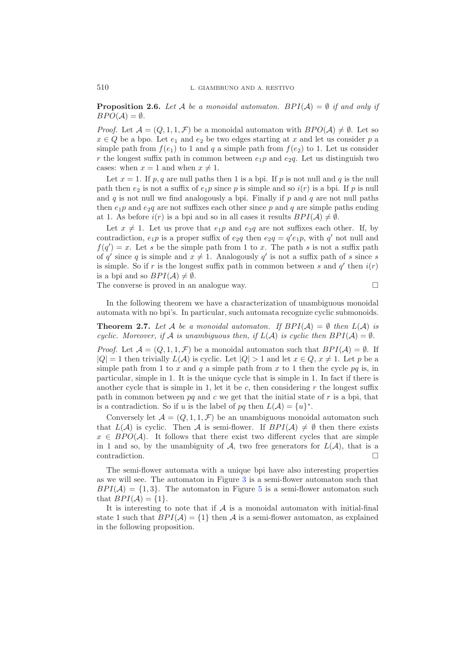**Proposition 2.6.** Let A be a monoidal automaton.  $BPI(\mathcal{A}) = \emptyset$  if and only if  $BPO(A) = \emptyset$ .

*Proof.* Let  $\mathcal{A} = (Q, 1, 1, \mathcal{F})$  be a monoidal automaton with  $BPO(\mathcal{A}) \neq \emptyset$ . Let so  $x \in \Omega$  be a bpo. Let  $e_1$  and  $e_2$  be two edges starting at  $x$  and let us consider  $n$  a  $x \in Q$  be a bpo. Let  $e_1$  and  $e_2$  be two edges starting at x and let us consider p a simple path from  $f(e_1)$  to 1 and q a simple path from  $f(e_2)$  to 1. Let us consider r the longest suffix path in common between  $e_1p$  and  $e_2q$ . Let us distinguish two cases: when  $x = 1$  and when  $x \neq 1$ .

Let  $x = 1$ . If p, q are null paths then 1 is a bpi. If p is not null and q is the null path then  $e_2$  is not a suffix of  $e_1p$  since p is simple and so  $i(r)$  is a bpi. If p is null and q is not null we find analogously a bpi. Finally if  $p$  and  $q$  are not null paths then  $e_1p$  and  $e_2q$  are not suffixes each other since p and q are simple paths ending at 1. As before  $i(r)$  is a bpi and so in all cases it results  $BPI(\mathcal{A}) \neq \emptyset$ .

Let  $x \neq 1$ . Let us prove that  $e_1p$  and  $e_2q$  are not suffixes each other. If, by introduction  $e_1p$  is a proper suffix of  $e_2q$  then  $e_2q = q'e_1p$  with  $q'$  not pull and contradiction,  $e_1p$  is a proper suffix of  $e_2q$  then  $e_2q = q'e_1p$ , with q' not null and  $f(q') = x$ . Let  $e$  be the simple path from 1 to  $x$ . The path  $e$  is not a suffix path  $f(q') = x$ . Let s be the simple path from 1 to x. The path s is not a suffix path of s since s of s' since s suffix path of s since s of q' since q is simple and  $x \neq 1$ . Analogously q' is not a suffix path of s since s<br>is simple. So if r is the longest suffix path in common between s and q' then  $i(r)$ . is simple. So if r is the longest suffix path in common between s and  $q'$  then  $i(r)$ is a bpi and so  $BPI(\mathcal{A}) \neq \emptyset$ .<br>The converse is proved in an

The converse is proved in an analogue way.  $\Box$ 

<span id="page-7-1"></span>In the following theorem we have a characterization of unambiguous monoidal automata with no bpi's. In particular, such automata recognize cyclic submonoids.

**Theorem 2.7.** Let A be a monoidal automaton. If  $BPI(A) = \emptyset$  then  $L(A)$  is *cyclic. Moreover, if*  $\mathcal A$  *is unambiguous then, if*  $L(\mathcal A)$  *is cyclic then*  $BPI(\mathcal A) = \emptyset$ *.* 

*Proof.* Let  $\mathcal{A} = (Q, 1, 1, \mathcal{F})$  be a monoidal automaton such that  $BPI(\mathcal{A}) = \emptyset$ . If  $|Q| = 1$  then trivially  $L(\mathcal{A})$  is cyclic. Let  $|Q| > 1$  and let  $x \in Q$ ,  $x \neq 1$ . Let p be a simple path from x to 1 then the cycle pa is in simple path from 1 to x and q a simple path from x to 1 then the cycle  $pq$  is, in particular, simple in 1. It is the unique cycle that is simple in 1. In fact if there is another cycle that is simple in 1, let it be c, then considering  $r$  the longest suffix path in common between  $pq$  and c we get that the initial state of r is a bpi, that is a contradiction. So if u is the label of pq then  $L(\mathcal{A}) = \{u\}^*$ .

Conversely let  $\mathcal{A} = (Q, 1, 1, \mathcal{F})$  be an unambiguous monoidal automaton such that  $L(\mathcal{A})$  is cyclic. Then  $\mathcal{A}$  is semi-flower. If  $BPI(\mathcal{A}) \neq \emptyset$  then there exists  $x \in BPO(\Lambda)$ . It follows that there exist two different cycles that are simple  $x \in BPO(\mathcal{A})$ . It follows that there exist two different cycles that are simple in 1 and so, by the unambiguity of A, two free generators for  $L(\mathcal{A})$ , that is a contradiction.

The semi-flower automata with a unique bpi have also interesting properties as we will see. The automaton in Figure [3](#page-5-1) is a semi-flower automaton such that  $BPI(\mathcal{A}) = \{1, 3\}.$  The automaton in Figure [5](#page-8-0) is a semi-flower automaton such that  $BPI(\mathcal{A}) = \{1\}.$ 

<span id="page-7-0"></span>It is interesting to note that if  $A$  is a monoidal automaton with initial-final state 1 such that  $BPI(\mathcal{A}) = \{1\}$  then  $\mathcal A$  is a semi-flower automaton, as explained in the following proposition.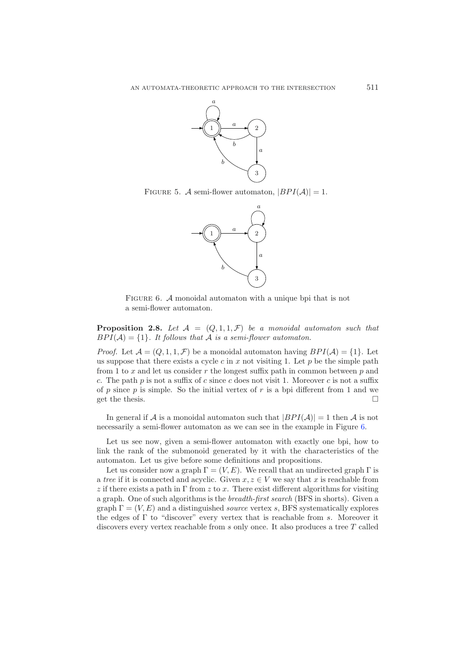<span id="page-8-0"></span>

<span id="page-8-1"></span>FIGURE 5. A semi-flower automaton,  $|BPI(\mathcal{A})|=1$ .



FIGURE 6. A monoidal automaton with a unique bpi that is not a semi-flower automaton.

**Proposition 2.8.** Let  $A = (Q, 1, 1, \mathcal{F})$  be a monoidal automaton such that  $BPI(\mathcal{A}) = \{1\}$ . It follows that  $\mathcal A$  is a semi-flower automaton.

*Proof.* Let  $\mathcal{A} = (Q, 1, 1, \mathcal{F})$  be a monoidal automaton having  $BPI(\mathcal{A}) = \{1\}$ . Let us suppose that there exists a cycle c in x not visiting 1. Let p be the simple path from 1 to x and let us consider r the longest suffix path in common between  $p$  and c. The path  $p$  is not a suffix of c since c does not visit 1. Moreover c is not a suffix of p since p is simple. So the initial vertex of r is a bpi different from 1 and we get the thesis. get the thesis.

In general if A is a monoidal automaton such that  $|BPI(\mathcal{A})|=1$  then A is not necessarily a semi-flower automaton as we can see in the example in Figure [6.](#page-8-1)

Let us see now, given a semi-flower automaton with exactly one bpi, how to link the rank of the submonoid generated by it with the characteristics of the automaton. Let us give before some definitions and propositions.

Let us consider now a graph  $\Gamma = (V, E)$ . We recall that an undirected graph  $\Gamma$  is a *tree* if it is connected and acyclic. Given  $x, z \in V$  we say that x is reachable from z if there exists a path in  $\Gamma$  from z to x. There exist different algorithms for visiting a graph. One of such algorithms is the *breadth-first search* (BFS in shorts). Given a graph  $\Gamma = (V, E)$  and a distinguished *source* vertex s, BFS systematically explores the edges of  $\Gamma$  to "discover" every vertex that is reachable from s. Moreover it discovers every vertex reachable from s only once. It also produces a tree T called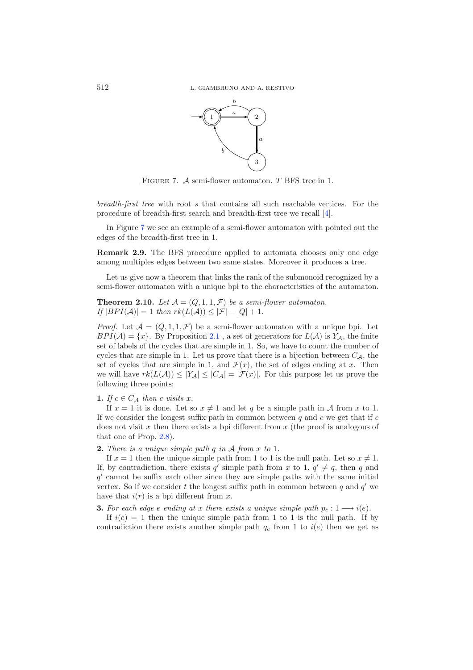<span id="page-9-0"></span>

FIGURE 7. A semi-flower automaton. T BFS tree in 1.

*breadth-first tree* with root s that contains all such reachable vertices. For the procedure of breadth-first search and breadth-first tree we recall [\[4](#page-21-9)].

In Figure [7](#page-9-0) we see an example of a semi-flower automaton with pointed out the edges of the breadth-first tree in 1.

**Remark 2.9.** The BFS procedure applied to automata chooses only one edge among multiples edges between two same states. Moreover it produces a tree.

<span id="page-9-1"></span>Let us give now a theorem that links the rank of the submonoid recognized by a semi-flower automaton with a unique bpi to the characteristics of the automaton.

**Theorem 2.10.** Let  $A = (Q, 1, 1, \mathcal{F})$  be a semi-flower automaton.  $If |BPI(\mathcal{A})| = 1$  *then*  $rk(L(\mathcal{A})) \leq |\mathcal{F}| - |Q| + 1$ *.* 

*Proof.* Let  $\mathcal{A} = (Q, 1, 1, \mathcal{F})$  be a semi-flower automaton with a unique bpi. Let  $BPI(\mathcal{A}) = \{x\}.$  By Proposition [2.1](#page-3-0), a set of generators for  $L(\mathcal{A})$  is  $Y_{\mathcal{A}}$ , the finite set of labels of the cycles that are simple in 1. So, we have to count the number of cycles that are simple in 1. Let us prove that there is a bijection between  $C_A$ , the set of cycles that are simple in 1, and  $\mathcal{F}(x)$ , the set of edges ending at x. Then we will have  $rk(L(\mathcal{A})) \leq |Y_{\mathcal{A}}| \leq |C_{\mathcal{A}}| = |\mathcal{F}(x)|$ . For this purpose let us prove the following three points:

### **1.** *If*  $c \in C_A$  *then c visits x*.

If  $x = 1$  it is done. Let so  $x \neq 1$  and let q be a simple path in  $\mathcal A$  from x to 1. If we consider the longest suffix path in common between  $q$  and  $c$  we get that if  $c$ does not visit  $x$  then there exists a bpi different from  $x$  (the proof is analogous of that one of Prop. [2.8\)](#page-7-0).

**2.** *There is a unique simple path* q *in* <sup>A</sup> *from* x *to* <sup>1</sup>*.*

If  $x = 1$  then the unique simple path from 1 to 1 is the null path. Let so  $x \neq 1$ . If, by contradiction, there exists q' simple path from x to 1,  $q' \neq q$ , then q and  $q'$  cannot be suffix each other since they are simple paths with the same initial  $q'$  cannot be suffix each other since they are simple paths with the same initial vertex. So if we consider t the longest suffix path in common between q and  $q'$  we have that  $i(r)$  is a bpi different from x.

**3.** *For each edge e ending at x there exists a unique simple path*  $p_e: 1 \longrightarrow i(e)$ *.* 

If  $i(e) = 1$  then the unique simple path from 1 to 1 is the null path. If by contradiction there exists another simple path  $q_e$  from 1 to  $i(e)$  then we get as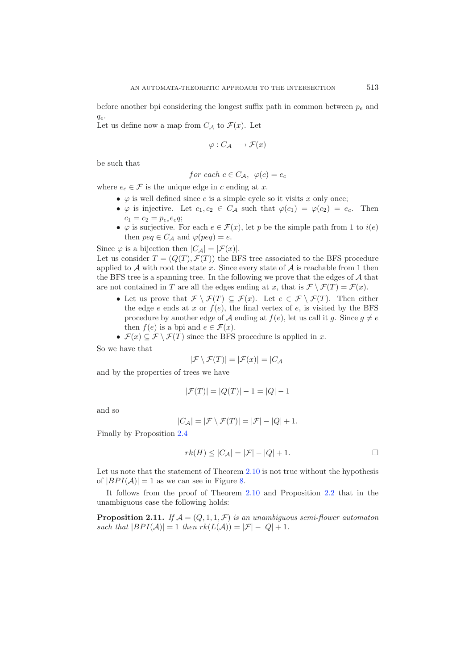before another bpi considering the longest suffix path in common between  $p_e$  and  $q_e.$ 

Let us define now a map from  $C_A$  to  $\mathcal{F}(x)$ . Let

$$
\varphi:C_{\mathcal{A}}\longrightarrow\mathcal{F}(x)
$$

be such that

for each 
$$
c \in C_{\mathcal{A}}
$$
,  $\varphi(c) = e_c$ 

where  $e_c \in \mathcal{F}$  is the unique edge in c ending at x.

- $\varphi$  is well defined since c is a simple cycle so it visits x only once;
- $\varphi$  is injective. Let  $c_1, c_2 \in C_{\mathcal{A}}$  such that  $\varphi(c_1) = \varphi(c_2) = e_c$ . Then  $c_1 = c_2 = p_{e_c} e_c q;$
- $\varphi$  is surjective. For each  $e \in \mathcal{F}(x)$ , let p be the simple path from 1 to  $i(e)$ then  $peq \in C_{\mathcal{A}}$  and  $\varphi (peq) = e$ .

Since  $\varphi$  is a bijection then  $|C_A| = |\mathcal{F}(x)|$ .

Let us consider  $T = (Q(T), \mathcal{F}(T))$  the BFS tree associated to the BFS procedure applied to A with root the state x. Since every state of  $A$  is reachable from 1 then the BFS tree is a spanning tree. In the following we prove that the edges of  $A$  that are not contained in T are all the edges ending at x, that is  $\mathcal{F}\setminus\mathcal{F}(T) = \mathcal{F}(x)$ .

- Let us prove that  $\mathcal{F} \setminus \mathcal{F}(T) \subseteq \mathcal{F}(x)$ . Let  $e \in \mathcal{F} \setminus \mathcal{F}(T)$ . Then either the edge  $e$  ends at  $x$  or  $f(e)$ , the final vertex of  $e$ , is visited by the BFS procedure by another edge of  $\mathcal A$  ending at  $f(e)$ , let us call it g. Since  $g \neq e$ <br>then  $f(e)$  is a bpi and  $e \in \mathcal F(x)$ then  $f(e)$  is a bpi and  $e \in \mathcal{F}(x)$ .
- $\mathcal{F}(x) \subseteq \mathcal{F} \setminus \mathcal{F}(T)$  since the BFS procedure is applied in x.

So we have that

$$
|\mathcal{F} \setminus \mathcal{F}(T)| = |\mathcal{F}(x)| = |C_{\mathcal{A}}|
$$

and by the properties of trees we have

$$
|\mathcal{F}(T)| = |Q(T)| - 1 = |Q| - 1
$$

and so

$$
|C_{\mathcal{A}}| = |\mathcal{F} \setminus \mathcal{F}(T)| = |\mathcal{F}| - |Q| + 1.
$$

Finally by Proposition [2.4](#page-4-1)

$$
rk(H) \leq |C_{\mathcal{A}}| = |\mathcal{F}| - |Q| + 1.
$$

Let us note that the statement of Theorem [2.10](#page-9-1) is not true without the hypothesis of  $|BPI(\mathcal{A})|=1$  as we can see in Figure [8.](#page-11-0)

It follows from the proof of Theorem [2.10](#page-9-1) and Proposition [2.2](#page-3-1) that in the unambiguous case the following holds:

**Proposition 2.11.** If  $A = (Q, 1, 1, \mathcal{F})$  *is an unambiguous semi-flower automaton such that*  $|BPI(A)| = 1$  *then*  $rk(L(A)) = |\mathcal{F}| - |Q| + 1$ *.*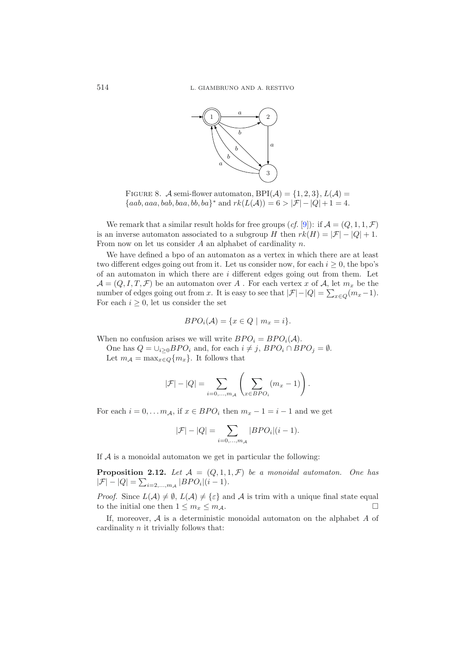<span id="page-11-0"></span>

FIGURE 8. A semi-flower automaton, BPI( $A$ ) = {1, 2, 3},  $L(A)$  =  ${aab, aaa, bab, baa, bb, ba}^*$  and  $rk(L(\mathcal{A})) = 6 > |\mathcal{F}| - |Q| + 1 = 4$ .

We remark that a similar result holds for free groups  $(cf. [9])$  $(cf. [9])$  $(cf. [9])$ : if  $\mathcal{A} = (Q, 1, 1, \mathcal{F})$ is an inverse automaton associated to a subgroup H then  $rk(H) = |\mathcal{F}| - |Q| + 1$ . From now on let us consider  $A$  an alphabet of cardinality  $n$ .

We have defined a bpo of an automaton as a vertex in which there are at least two different edges going out from it. Let us consider now, for each  $i \geq 0$ , the bpo's of an automaton in which there are  $i$  different edges going out from them. Let  $\mathcal{A} = (Q, I, T, \mathcal{F})$  be an automaton over A. For each vertex x of A, let  $m_x$  be the number of edges going out from x. It is easy to see that  $|\mathcal{F}|-|Q| = \sum_{x \in Q}(m_x-1)$ .<br>For each  $i > 0$  let us consider the set For each  $i \geq 0$ , let us consider the set

$$
BPO_{i}(\mathcal{A}) = \{x \in Q \mid m_x = i\}.
$$

When no confusion arises we will write  $BPO_i = BPO_i(\mathcal{A})$ .

One has  $Q = \bigcup_{i \geq 0} BPO_i$  and, for each  $i \neq j$ ,  $BPO_i \cap BPO_j = \emptyset$ .<br>Let  $m_i = \max_{i \geq 0} \sum_{i \geq j} m_i$ . It follows that Let  $m_A = \max_{x \in Q} \{m_x\}$ . It follows that

$$
|\mathcal{F}| - |Q| = \sum_{i=0,\dots,m_A} \left( \sum_{x \in BPO_i} (m_x - 1) \right).
$$

For each  $i = 0, \ldots m_A$ , if  $x \in BPO_i$  then  $m_x - 1 = i - 1$  and we get

$$
|\mathcal{F}| - |Q| = \sum_{i=0,...,m_A} |BPO_i|(i-1).
$$

If  $A$  is a monoidal automaton we get in particular the following:

**Proposition 2.12.** Let  $A = (Q, 1, 1, \mathcal{F})$  be a monoidal automaton. One has  $|\mathcal{F}| - |Q| = \sum_{i=2,...,m_A} |BPO_i|(i-1).$ 

*Proof.* Since  $L(\mathcal{A}) \neq \emptyset$ ,  $L(\mathcal{A}) \neq \{\varepsilon\}$  and  $\mathcal{A}$  is trim with a unique final state equal to the initial one than  $1 \leq m \leq m$ . to the initial one then  $1 \leq m_x \leq m_A$ .  $\Box$ 

If, moreover, <sup>A</sup> is a deterministic monoidal automaton on the alphabet A of cardinality  $n$  it trivially follows that: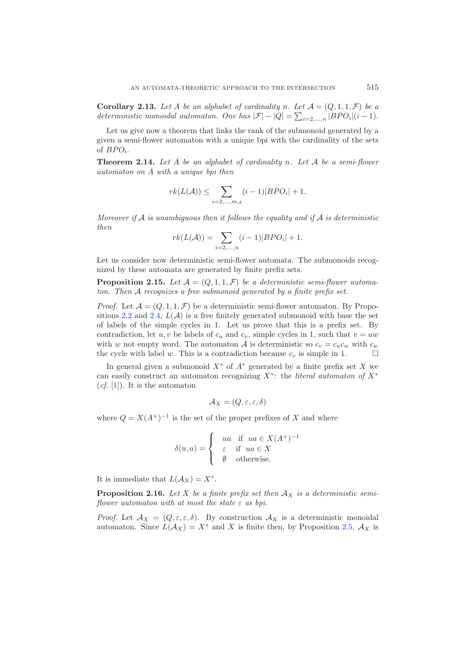**Corollary 2.13.** Let A be an alphabet of cardinality n. Let  $A = (Q, 1, 1, \mathcal{F})$  be a *deterministic monoidal automaton. One has*  $|\mathcal{F}| - |Q| = \sum_{i=2,\dots,n} |BPO_i|(i-1)$ *.* 

Let us give now a theorem that links the rank of the submonoid generated by a given a semi-flower automaton with a unique bpi with the cardinality of the sets of  $BPO_i$ .

<span id="page-12-0"></span>**Theorem 2.14.** *Let* A *be an alphabet of cardinality* n*. Let* <sup>A</sup> *be a semi-flower automaton on* A *with a unique bpi then*

$$
rk(L(\mathcal{A})) \leq \sum_{i=2,\dots,m_{\mathcal{A}}}(i-1)|BPO_{i}|+1.
$$

*Moreover if* A *is unambiguous then it follows the equality and if* A *is deterministic then*

$$
rk(L(\mathcal{A})) = \sum_{i=2,\dots,n} (i-1)|BPO_i| + 1.
$$

Let us consider now deterministic semi-flower automata. The submonoids recognized by these automata are generated by finite prefix sets.

**Proposition 2.15.** Let  $A = (Q, 1, 1, \mathcal{F})$  be a deterministic semi-flower automa*ton. Then* A *recognizes a free submonoid generated by a finite prefix set.*

*Proof.* Let  $\mathcal{A} = (Q, 1, 1, \mathcal{F})$  be a deterministic semi-flower automaton. By Propo-sitions [2.2](#page-3-1) and [2.4,](#page-4-1)  $L(\mathcal{A})$  is a free finitely generated submonoid with base the set of labels of the simple cycles in 1. Let us prove that this is a prefix set. By contradiction, let u, v be labels of  $c_u$  and  $c_v$ , simple cycles in 1, such that  $v = uw$ with w not empty word. The automaton A is deterministic so  $c_v = c_u c_w$  with  $c_w$  the cycle with label w. This is a contradiction because  $c_v$  is simple in 1 the cycle with label w. This is a contradiction because  $c_v$  is simple in 1.

In general given a submonoid  $X^*$  of  $A^*$  generated by a finite prefix set X we can easily construct an automaton recognizing <sup>X</sup><sup>∗</sup>: the *literal automaton of* X<sup>∗</sup>  $(cf. [1])$  $(cf. [1])$  $(cf. [1])$ . It is the automaton

$$
\mathcal{A}_X = (Q, \varepsilon, \varepsilon, \delta)
$$

where  $Q = X(A^+)^{-1}$  is the set of the proper prefixes of X and where

$$
\delta(u, a) = \begin{cases}\nua & \text{if } ua \in X(A^+)^{-1} \\
\varepsilon & \text{if } ua \in X \\
\emptyset & \text{otherwise.} \n\end{cases}
$$

It is immediate that  $L(A_X) = X^*$ .

**Proposition 2.16.** Let X be a finite prefix set then  $A_X$  is a deterministic semi*flower automaton with at most the state* ε *as bpi.*

*Proof.* Let  $\mathcal{A}_X = (Q, \varepsilon, \varepsilon, \delta)$ . By construction  $\mathcal{A}_X$  is a deterministic monoidal automaton. Since  $L(\mathcal{A}_X) = X^*$  and X is finite then, by Proposition [2.5,](#page-5-2)  $\mathcal{A}_X$  is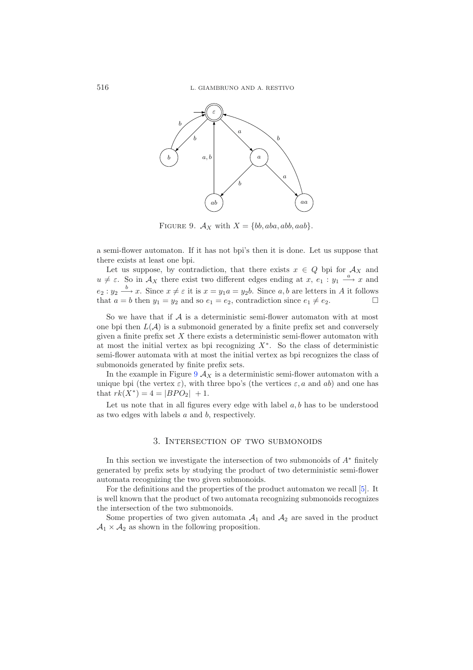<span id="page-13-0"></span>

FIGURE 9.  $A_X$  with  $X = \{bb, aba, abb, aab\}.$ 

a semi-flower automaton. If it has not bpi's then it is done. Let us suppose that there exists at least one bpi.

Let us suppose, by contradiction, that there exists  $x \in Q$  bpi for  $\mathcal{A}_X$  and  $u \neq \varepsilon$ . So in  $\mathcal{A}_X$  there exist two different edges ending at  $x, e_1 : y_1 \stackrel{a}{\longrightarrow} x$  and  $e_2: y_2 \xrightarrow{b} x$ . Since  $x \neq \varepsilon$  it is  $x = y_1 a = y_2 b$ . Since a, b are letters in A it follows that  $a = b$  then  $y_1 = y_2$  and so  $e_1 = e_2$ , contradiction since  $e_1 \neq e_2$ .

So we have that if  $A$  is a deterministic semi-flower automaton with at most one bpi then  $L(\mathcal{A})$  is a submonoid generated by a finite prefix set and conversely given a finite prefix set  $X$  there exists a deterministic semi-flower automaton with at most the initial vertex as bpi recognizing  $X^*$ . So the class of deterministic semi-flower automata with at most the initial vertex as bpi recognizes the class of submonoids generated by finite prefix sets.

In the example in Figure  $9 \text{ }\mathcal{A}_X$  $9 \text{ }\mathcal{A}_X$  is a deterministic semi-flower automaton with a unique bpi (the vertex  $\varepsilon$ ), with three bpo's (the vertices  $\varepsilon$ , a and ab) and one has that  $rk(X^*)=4= |BPO_2| + 1.$ 

Let us note that in all figures every edge with label  $a, b$  has to be understood as two edges with labels a and b, respectively.

### 3. Intersection of two submonoids

In this section we investigate the intersection of two submonoids of  $A^*$  finitely generated by prefix sets by studying the product of two deterministic semi-flower automata recognizing the two given submonoids.

For the definitions and the properties of the product automaton we recall [\[5\]](#page-21-10). It is well known that the product of two automata recognizing submonoids recognizes the intersection of the two submonoids.

Some properties of two given automata  $A_1$  and  $A_2$  are saved in the product  $A_1 \times A_2$  as shown in the following proposition.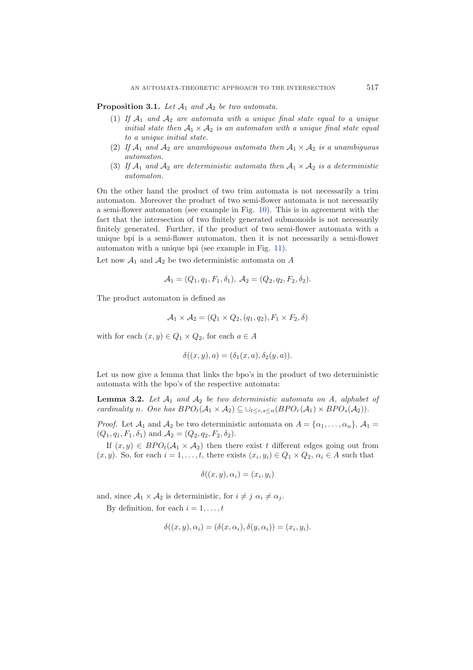**Proposition 3.1.** *Let* <sup>A</sup>1 *and* <sup>A</sup>2 *be two automata.*

- (1) If  $A_1$  and  $A_2$  are automata with a unique final state equal to a unique *initial state then*  $A_1 \times A_2$  *is an automaton with a unique final state equal to a unique initial state.*
- (2) If  $A_1$  and  $A_2$  are unambiguous automata then  $A_1 \times A_2$  is a unambiguous *automaton.*
- (3) If  $A_1$  and  $A_2$  are deterministic automata then  $A_1 \times A_2$  is a deterministic *automaton.*

On the other hand the product of two trim automata is not necessarily a trim automaton. Moreover the product of two semi-flower automata is not necessarily a semi-flower automaton (see example in Fig. [10\)](#page-15-0). This is in agreement with the fact that the intersection of two finitely generated submonoids is not necessarily finitely generated. Further, if the product of two semi-flower automata with a unique bpi is a semi-flower automaton, then it is not necessarily a semi-flower automaton with a unique bpi (see example in Fig. [11\)](#page-16-0).

Let now  $A_1$  and  $A_2$  be two deterministic automata on A

$$
\mathcal{A}_1 = (Q_1, q_1, F_1, \delta_1), \ \mathcal{A}_2 = (Q_2, q_2, F_2, \delta_2).
$$

The product automaton is defined as

$$
A_1 \times A_2 = (Q_1 \times Q_2, (q_1, q_2), F_1 \times F_2, \delta)
$$

with for each  $(x, y) \in Q_1 \times Q_2$ , for each  $a \in A$ 

$$
\delta((x,y),a)=(\delta_1(x,a),\delta_2(y,a)).
$$

Let us now give a lemma that links the bpo's in the product of two deterministic automata with the bpo's of the respective automata:

**Lemma 3.2.** *Let* <sup>A</sup>1 *and* <sup>A</sup>2 *be two deterministic automata on* <sup>A</sup>*, alphabet of cardinality n.* One has  $BPO_t(\mathcal{A}_1 \times \mathcal{A}_2) \subseteq \bigcup_{t \leq r,s \leq n} (BPO_r(\mathcal{A}_1) \times BPO_s(\mathcal{A}_2)).$ 

*Proof.* Let  $\mathcal{A}_1$  and  $\mathcal{A}_2$  be two deterministic automata on  $A = {\alpha_1, \dots, \alpha_n}$ ,  $\mathcal{A}_1 =$  $(Q_1, q_1, F_1, \delta_1)$  and  $\mathcal{A}_2 = (Q_2, q_2, F_2, \delta_2).$ 

If  $(x, y) \in BPO<sub>t</sub>(A<sub>1</sub> \times A<sub>2</sub>)$  then there exist t different edges going out from  $(x, y)$ . So, for each  $i = 1, \ldots, t$ , there exists  $(x_i, y_i) \in Q_1 \times Q_2$ ,  $\alpha_i \in A$  such that

$$
\delta((x,y),\alpha_i)=(x_i,y_i)
$$

and, since  $A_1 \times A_2$  is deterministic, for  $i \neq j$   $\alpha_i \neq \alpha_j$ .

By definition, for each  $i = 1, \ldots, t$ 

$$
\delta((x, y), \alpha_i) = (\delta(x, \alpha_i), \delta(y, \alpha_i)) = (x_i, y_i).
$$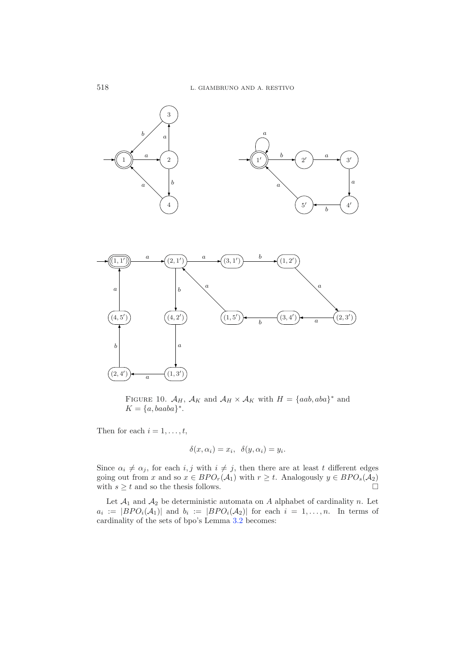

<span id="page-15-0"></span>FIGURE 10.  $\mathcal{A}_H$ ,  $\mathcal{A}_K$  and  $\mathcal{A}_H \times \mathcal{A}_K$  with  $H = \{aab, aba\}^*$  and  $K = \{a, baaba\}^*$ .

Then for each  $i = 1, \ldots, t$ ,

$$
\delta(x, \alpha_i) = x_i, \ \delta(y, \alpha_i) = y_i.
$$

Since  $\alpha_i \neq \alpha_j$ , for each  $i, j$  with  $i \neq j$ , then there are at least t different edges<br>going out from x and so  $x \in BPO(A_1)$  with  $x > t$ . Analogously  $y \in BPO(A_2)$ going out from x and so  $x \in BPO_r(\mathcal{A}_1)$  with  $r \geq t$ . Analogously  $y \in BPO_s(\mathcal{A}_2)$ <br>with  $s > t$  and so the thesis follows with  $s \geq t$  and so the thesis follows.  $\Box$ 

Let  $\mathcal{A}_1$  and  $\mathcal{A}_2$  be deterministic automata on A alphabet of cardinality n. Let  $a_i := |BPO_i(A_1)|$  and  $b_i := |BPO_i(A_2)|$  for each  $i = 1, \ldots, n$ . In terms of cardinality of the sets of bpo's Lemma [3.2](#page-3-1) becomes: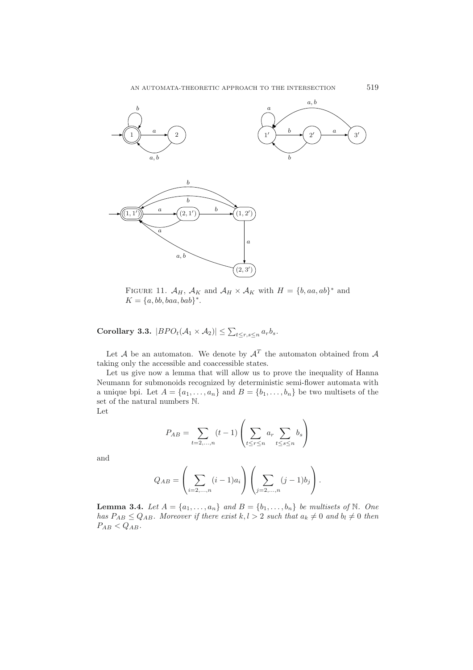<span id="page-16-0"></span>

FIGURE 11.  $\mathcal{A}_H$ ,  $\mathcal{A}_K$  and  $\mathcal{A}_H \times \mathcal{A}_K$  with  $H = \{b, aa, ab\}^*$  and  $K = \{a, bb, baa, bab\}^*$ .

**Corollary 3.3.**  $|BPO_t(A_1 \times A_2)| \leq \sum_{t \leq r,s \leq n} a_r b_s$ .

Let  $A$  be an automaton. We denote by  $A<sup>T</sup>$  the automaton obtained from  $A$ taking only the accessible and coaccessible states.

Let us give now a lemma that will allow us to prove the inequality of Hanna Neumann for submonoids recognized by deterministic semi-flower automata with a unique bpi. Let  $A = \{a_1, \ldots, a_n\}$  and  $B = \{b_1, \ldots, b_n\}$  be two multisets of the set of the natural numbers N.

Let

$$
P_{AB} = \sum_{t=2,\dots,n} (t-1) \left( \sum_{t \le r \le n} a_r \sum_{t \le s \le n} b_s \right)
$$

and

$$
Q_{AB} = \left(\sum_{i=2,...,n} (i-1)a_i\right) \left(\sum_{j=2,...,n} (j-1)b_j\right).
$$

**Lemma 3.4.** *Let*  $A = \{a_1, \ldots, a_n\}$  *and*  $B = \{b_1, \ldots, b_n\}$  *be multisets of*  $\mathbb N$ *. One bas*  $P_{AB} \leq Q_{AB}$  *Moreover if there erist*  $k, l > 2$  *such that*  $a_l \neq 0$  *and*  $b_l \neq 0$  *then has*  $P_{AB} \leq Q_{AB}$ *. Moreover if there exist*  $k, l > 2$  *such that*  $a_k \neq 0$  *and*  $b_l \neq 0$  *then*  $P_{AB} \leq Q_{AB}$ .  $P_{AB} < Q_{AB}$ .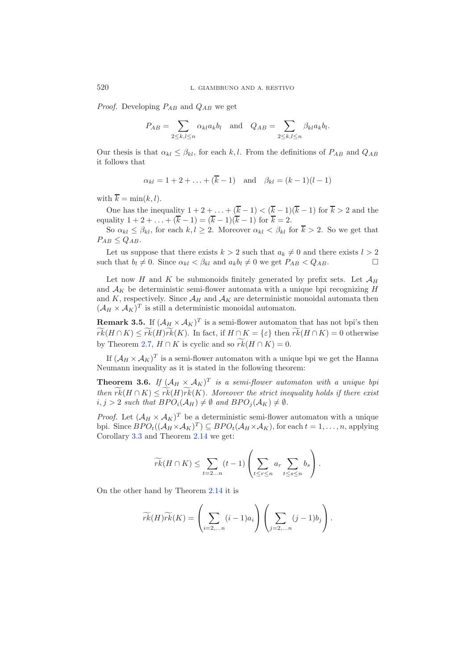*Proof.* Developing  $P_{AB}$  and  $Q_{AB}$  we get

$$
P_{AB} = \sum_{2 \le k,l \le n} \alpha_{kl} a_k b_l \quad \text{and} \quad Q_{AB} = \sum_{2 \le k,l \le n} \beta_{kl} a_k b_l.
$$

Our thesis is that  $\alpha_{kl} \leq \beta_{kl}$ , for each k, l. From the definitions of  $P_{AB}$  and  $Q_{AB}$ it follows that

$$
\alpha_{kl} = 1 + 2 + \ldots + (\overline{k} - 1)
$$
 and  $\beta_{kl} = (k - 1)(l - 1)$ 

with  $\overline{k} = \min(k, l)$ .

One has the inequality  $1 + 2 + \ldots + (k-1) < (k-1)(k-1)$  for  $k > 2$  and the solity  $1+2 + \ldots + (k-1)(k-1)$  for  $k-2$ equality  $1 + 2 + ... + (k - 1) = (k - 1)(k - 1)$  for  $k = 2$ .<br>So  $\alpha_{11} \leq \beta_{11}$  for each  $k \neq 2$ . Moreover  $\alpha_{11} \leq \beta_{11}$  for

So  $\alpha_{kl} \leq \beta_{kl}$ , for each  $k, l \geq 2$ . Moreover  $\alpha_{kl} < \beta_{kl}$  for  $\overline{k} > 2$ . So we get that  $P_{AB} \leq Q_{AB}$ .

Let us suppose that there exists  $k > 2$  such that  $a_k \neq 0$  and there exists  $l > 2$ <br>that  $b_l \neq 0$ . Since  $\alpha_l \leq \beta_{l,l}$  and  $a_l b_l \neq 0$  we get  $P_{l,l} \leq O_{l,l}$ such that  $b_l \neq 0$ . Since  $\alpha_{kl} < \beta_{kl}$  and  $a_k b_l \neq 0$  we get  $P_{AB} < Q_{AB}$ .

Let now H and K be submonoids finitely generated by prefix sets. Let  $\mathcal{A}_H$ and  $A_K$  be deterministic semi-flower automata with a unique bpi recognizing  $H$ and K, respectively. Since  $\mathcal{A}_H$  and  $\mathcal{A}_K$  are deterministic monoidal automata then  $(\mathcal{A}_H \times \mathcal{A}_K)^T$  is still a deterministic monoidal automaton.

**Remark 3.5.** If  $(A_H \times A_K)^T$  is a semi-flower automaton that has not bpi's then rk- $(H \cap K) \leq rk(H)rk(K)$ . In fact, if  $H \cap K = \{\varepsilon\}$  then  $rk(H \cap K) = 0$  otherwise by Theorem [2.7,](#page-7-1)  $H \cap K$  is cyclic and so  $rk(H \cap K) = 0$ .

If  $(\mathcal{A}_H \times \mathcal{A}_K)^T$  is a semi-flower automaton with a unique bpi we get the Hanna Neumann inequality as it is stated in the following theorem:

**Theorem 3.6.** *If*  $(A_H \times A_K)^T$  *is a semi-flower automaton with a unique bpi then*  $rk(H \cap K) \leq rk(H)rk(K)$ *. Moreover the strict inequality holds if there exist*<br>*i i* > 2 such that  $BPO(A_{K}) + \emptyset$  and  $BPO(A_{K}) + \emptyset$  $i, j > 2$  such that  $BPO_i(\mathcal{A}_H) \neq \emptyset$  and  $BPO_j(\mathcal{A}_K) \neq \emptyset$ .

*Proof.* Let  $(A_H \times A_K)^T$  be a deterministic semi-flower automaton with a unique bpi. Since  $BPO_t((\mathcal{A}_H \times \mathcal{A}_K)^T) \subseteq BPO_t(\mathcal{A}_H \times \mathcal{A}_K)$ , for each  $t = 1, \ldots, n$ , applying Corollary [3.3](#page-4-2) and Theorem [2.14](#page-12-0) we get:

$$
\widetilde{rk}(H \cap K) \leq \sum_{t=2...n} (t-1) \left( \sum_{t \leq r \leq n} a_r \sum_{t \leq s \leq n} b_s \right).
$$

On the other hand by Theorem [2.14](#page-12-0) it is

$$
\widetilde{rk}(H)\widetilde{rk}(K) = \left(\sum_{i=2,\ldots n} (i-1)a_i\right)\left(\sum_{j=2,\ldots n} (j-1)b_j\right).
$$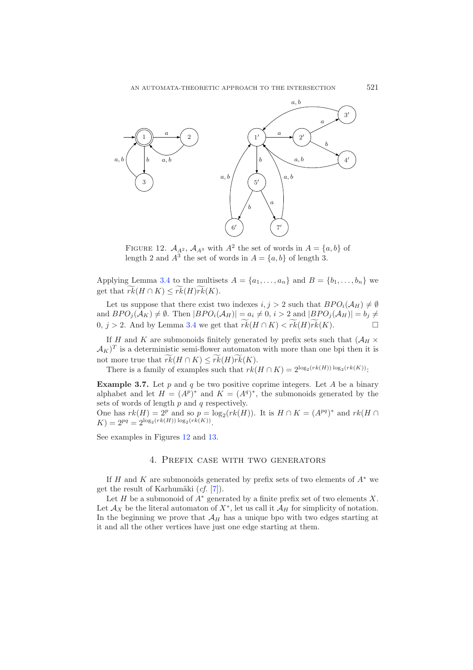<span id="page-18-0"></span>

FIGURE 12.  $A_{A^2}$ ,  $A_{A^3}$  with  $A^2$  the set of words in  $A = \{a, b\}$  of length 2 and  $A^3$  the set of words in  $A = \{a, b\}$  of length 3.

Applying Lemma [3.4](#page-4-1) to the multisets  $A = \{a_1, \ldots, a_n\}$  and  $B = \{b_1, \ldots, b_n\}$  we get that  $rk(H \cap K) \leq rk(H)rk(K)$ .

Let us suppose that there exist two indexes  $i, j > 2$  such that  $BPO_i(\mathcal{A}_H) \neq \emptyset$ <br>d  $BPO_i(\mathcal{A}_H) \neq \emptyset$ . Then  $BPO_i(\mathcal{A}_H) = a, \neq 0$ ,  $i > 2$  and  $BPO_i(\mathcal{A}_H) = b, \neq 0$ . and  $BPO_j(\mathcal{A}_K) \neq \emptyset$ . Then  $|BPO_i(\mathcal{A}_H)| = a_i \neq 0$ ,  $i > 2$  and  $|BPO_j(\mathcal{A}_H)| = b_j \neq 0$ 0, *j* > 2. And by Lemma [3.4](#page-4-1) we get that  $rk(H \cap K) < rk(H)rk(K)$ .  $□$ 

If H and K are submonoids finitely generated by prefix sets such that  $(\mathcal{A}_H \times$  $(\mathcal{A}_K)^T$  is a deterministic semi-flower automaton with more than one bpi then it is not more true that  $rk(H \cap K) \leq rk(H)rk(K)$ .<br>There is a family of examples such that  $rk(K)$ .

There is a family of examples such that  $rk(H \cap K)=2^{\log_2(rk(H))\log_2(rk(K))}$ :

**Example 3.7.** Let p and q be two positive coprime integers. Let A be a binary alphabet and let  $H = (A^p)^*$  and  $K = (A^q)^*$ , the submonoids generated by the sets of words of length  $p$  and  $q$  respectively.

One has  $rk(H)=2^p$  and so  $p = \log_2(rk(H))$ . It is  $H \cap K = (A^{pq})^*$  and  $rk(H \cap$  $K)=2^{pq} = 2^{\log_2(rk(H)) \log_2(rk(K))}.$ 

See examples in Figures [12](#page-18-0) and [13.](#page-19-0)

#### 4. Prefix case with two generators

If H and K are submonoids generated by prefix sets of two elements of  $A^*$  we get the result of Karhumäki (*cf.* [\[7](#page-21-2)]).

Let H be a submonoid of  $A^*$  generated by a finite prefix set of two elements X. Let  $\mathcal{A}_X$  be the literal automaton of  $X^*$ , let us call it  $\mathcal{A}_H$  for simplicity of notation. In the beginning we prove that  $\mathcal{A}_H$  has a unique bpo with two edges starting at it and all the other vertices have just one edge starting at them.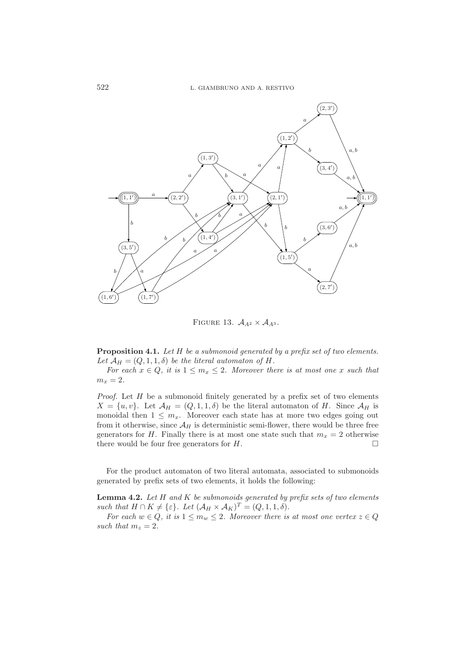

<span id="page-19-0"></span>FIGURE 13.  $A_{A^2} \times A_{A^3}$ .

**Proposition 4.1.** *Let* H *be a submonoid generated by a prefix set of two elements.* Let  $\mathcal{A}_H = (Q, 1, 1, \delta)$  *be the literal automaton of* H.

*For each*  $x \in Q$ , *it is*  $1 \leq m_x \leq 2$ *. Moreover there is at most one* x *such that*  $m_x = 2.$ 

*Proof.* Let H be a submonoid finitely generated by a prefix set of two elements  $X = \{u, v\}$ . Let  $\mathcal{A}_H = (Q, 1, 1, \delta)$  be the literal automaton of H. Since  $\mathcal{A}_H$  is monoidal then  $1 \leq m_x$ . Moreover each state has at more two edges going out from it otherwise, since  $\mathcal{A}_H$  is deterministic semi-flower, there would be three free generators for H. Finally there is at most one state such that  $m_x = 2$  otherwise there would be four free generators for  $H$ .  $\Box$ 

For the product automaton of two literal automata, associated to submonoids generated by prefix sets of two elements, it holds the following:

**Lemma 4.2.** *Let* H *and* K *be submonoids generated by prefix sets of two elements such that*  $H \cap K \neq {\varepsilon}$ *. Let*  $({\mathcal{A}}_H \times {\mathcal{A}}_K)^T = (Q, 1, 1, \delta)$ .<br>For each  $w \in Q$  it is  $1 \leq m \leq 2$ . Moreover there is

*For each*  $w \in Q$ , it is  $1 \leq m_w \leq 2$ . Moreover there is at most one vertex  $z \in Q$ such that  $m_z = 2$ .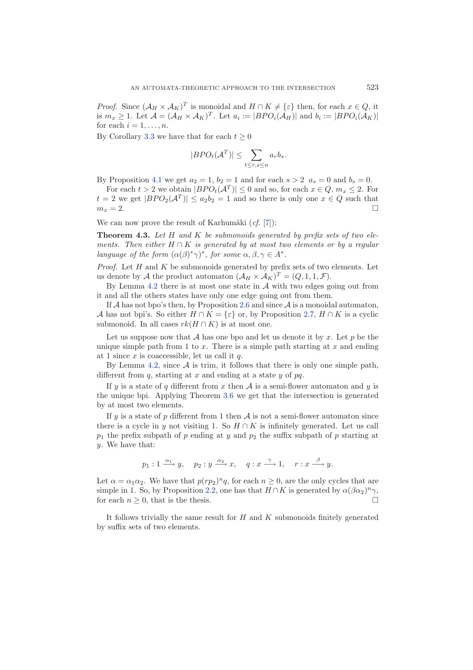*Proof.* Since  $(A_H \times A_K)^T$  is monoidal and  $H \cap K \neq \{\varepsilon\}$  then, for each  $x \in Q$ , it is  $m \geq 1$ . Let  $A = (A_H \times A_K)^T$ . Let  $a_H = |BPO_{\varepsilon}(A_H)|$  and  $b_H = |BPO_{\varepsilon}(A_K)|$ . is  $m_x \ge 1$ . Let  $\mathcal{A} = (\mathcal{A}_H \times \mathcal{A}_K)^T$ . Let  $a_i := |BPO_i(\mathcal{A}_H)|$  and  $b_i := |BPO_i(\mathcal{A}_K)|$ <br>for each  $i-1$ for each  $i = 1, \ldots, n$ .

By Corollary [3.3](#page-4-2) we have that for each  $t \geq 0$ 

$$
|BPO_{t}(\mathcal{A}^{T})| \leq \sum_{t \leq r,s \leq n} a_{r}b_{s}.
$$

By Proposition [4.1](#page-3-0) we get  $a_2 = 1$ ,  $b_2 = 1$  and for each  $s > 2$   $a_s = 0$  and  $b_s = 0$ .

For each  $t > 2$  we obtain  $|BPO_t(\mathcal{A}^T)| \leq 0$  and so, for each  $x \in Q$ ,  $m_x \leq 2$ . For  $t = 2$  we get  $|BPO_2(\mathcal{A}^T)| \le a_2b_2 = 1$  and so there is only one  $x \in Q$  such that  $m_x = 2$ .  $m_x = 2.$ 

We can now prove the result of Karhumäki  $(cf. [7])$  $(cf. [7])$  $(cf. [7])$ :

**Theorem 4.3.** *Let* H *and* K *be submonoids generated by prefix sets of two elements. Then either* H <sup>∩</sup> K *is generated by at most two elements or by a regular language of the form*  $(\alpha(\beta)^*\gamma)^*$ *, for some*  $\alpha, \beta, \gamma \in A^*$ *.* 

*Proof.* Let  $H$  and  $K$  be submonoids generated by prefix sets of two elements. Let us denote by A the product automaton  $(A_H \times A_K)^T = (Q, 1, 1, \mathcal{F}).$ 

By Lemma  $4.2$  there is at most one state in  $A$  with two edges going out from it and all the others states have only one edge going out from them.

If A has not bpo's then, by Proposition [2.6](#page-6-1) and since  $A$  is a monoidal automaton, A has not bpi's. So either  $H \cap K = \{\varepsilon\}$  or, by Proposition [2.7,](#page-7-1)  $H \cap K$  is a cyclic submonoid. In all cases  $rk(H \cap K)$  is at most one.

Let us suppose now that A has one bpo and let us denote it by x. Let p be the unique simple path from 1 to  $x$ . There is a simple path starting at  $x$  and ending at 1 since  $x$  is coaccessible, let us call it  $q$ .

By Lemma [4.2,](#page-3-1) since  $A$  is trim, it follows that there is only one simple path, different from q, starting at x and ending at a state y of  $pq$ .

If y is a state of q different from x then  $A$  is a semi-flower automaton and y is the unique bpi. Applying Theorem [3.6](#page-6-1) we get that the intersection is generated by at most two elements.

If y is a state of p different from 1 then  $A$  is not a semi-flower automaton since there is a cycle in y not visiting 1. So  $H \cap K$  is infinitely generated. Let us call  $p_1$  the prefix subpath of p ending at y and  $p_2$  the suffix subpath of p starting at y. We have that:

$$
p_1: 1 \xrightarrow{\alpha_1} y
$$
,  $p_2: y \xrightarrow{\alpha_2} x$ ,  $q: x \xrightarrow{\gamma} 1$ ,  $r: x \xrightarrow{\beta} y$ .

Let  $\alpha = \alpha_1 \alpha_2$ . We have that  $p(rp_2)^n q$ , for each  $n \geq 0$ , are the only cycles that are simple in 1. So, by Proposition [2.2,](#page-3-1) one has that  $H \cap K$  is generated by  $\alpha(\beta \alpha_2)^n \gamma$ , for each  $n > 0$ , that is the thesis for each  $n \geq 0$ , that is the thesis.

It follows trivially the same result for  $H$  and  $K$  submonoids finitely generated by suffix sets of two elements.